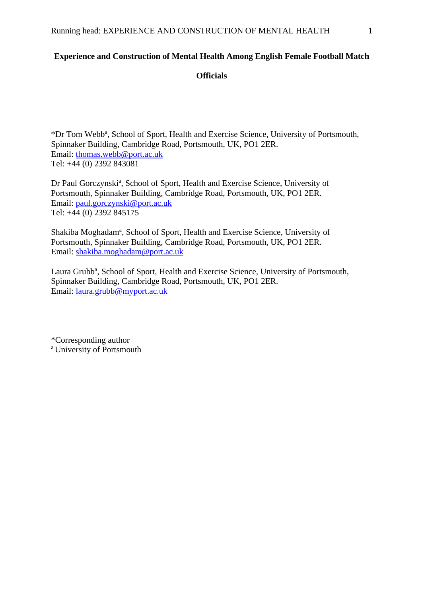### **Experience and Construction of Mental Health Among English Female Football Match**

**Officials**

\*Dr Tom Webb<sup>a</sup>, School of Sport, Health and Exercise Science, University of Portsmouth, Spinnaker Building, Cambridge Road, Portsmouth, UK, PO1 2ER. Email: [thomas.webb@port.ac.uk](mailto:thomas.webb@port.ac.uk) Tel: +44 (0) 2392 843081

Dr Paul Gorczynski<sup>a</sup>, School of Sport, Health and Exercise Science, University of Portsmouth, Spinnaker Building, Cambridge Road, Portsmouth, UK, PO1 2ER. Email: [paul.gorczynski@port.ac.uk](mailto:paul.gorczynski@port.ac.uk) Tel: +44 (0) 2392 845175

Shakiba Moghadam<sup>a</sup>, School of Sport, Health and Exercise Science, University of Portsmouth, Spinnaker Building, Cambridge Road, Portsmouth, UK, PO1 2ER. Email: [shakiba.moghadam@port.ac.uk](mailto:shakiba.moghadam@port.ac.uk)

Laura Grubb<sup>a</sup>, School of Sport, Health and Exercise Science, University of Portsmouth, Spinnaker Building, Cambridge Road, Portsmouth, UK, PO1 2ER. Email: [laura.grubb@myport.ac.uk](mailto:laura.grubb@myport.ac.uk)

\*Corresponding author <sup>a</sup> University of Portsmouth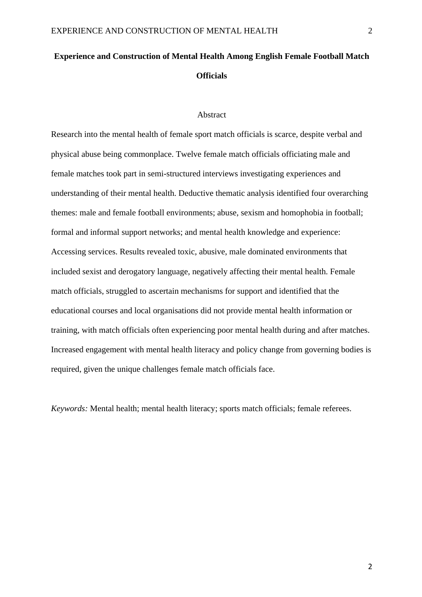# **Experience and Construction of Mental Health Among English Female Football Match Officials**

#### Abstract

Research into the mental health of female sport match officials is scarce, despite verbal and physical abuse being commonplace. Twelve female match officials officiating male and female matches took part in semi-structured interviews investigating experiences and understanding of their mental health. Deductive thematic analysis identified four overarching themes: male and female football environments; abuse, sexism and homophobia in football; formal and informal support networks; and mental health knowledge and experience: Accessing services. Results revealed toxic, abusive, male dominated environments that included sexist and derogatory language, negatively affecting their mental health. Female match officials, struggled to ascertain mechanisms for support and identified that the educational courses and local organisations did not provide mental health information or training, with match officials often experiencing poor mental health during and after matches. Increased engagement with mental health literacy and policy change from governing bodies is required, given the unique challenges female match officials face.

*Keywords:* Mental health; mental health literacy; sports match officials; female referees.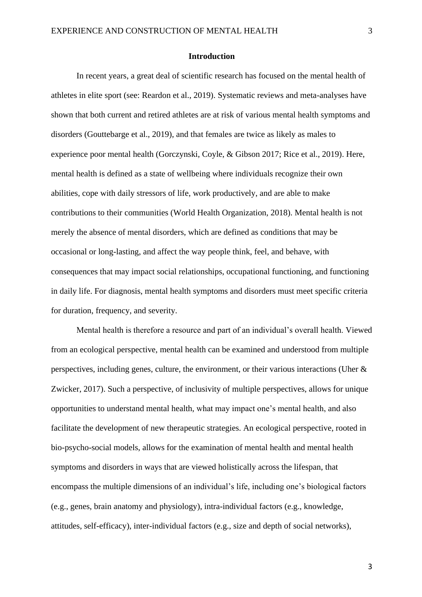#### **Introduction**

In recent years, a great deal of scientific research has focused on the mental health of athletes in elite sport (see: Reardon et al., 2019). Systematic reviews and meta-analyses have shown that both current and retired athletes are at risk of various mental health symptoms and disorders (Gouttebarge et al., 2019), and that females are twice as likely as males to experience poor mental health (Gorczynski, Coyle, & Gibson 2017; Rice et al., 2019). Here, mental health is defined as a state of wellbeing where individuals recognize their own abilities, cope with daily stressors of life, work productively, and are able to make contributions to their communities (World Health Organization, 2018). Mental health is not merely the absence of mental disorders, which are defined as conditions that may be occasional or long-lasting, and affect the way people think, feel, and behave, with consequences that may impact social relationships, occupational functioning, and functioning in daily life. For diagnosis, mental health symptoms and disorders must meet specific criteria for duration, frequency, and severity.

Mental health is therefore a resource and part of an individual's overall health. Viewed from an ecological perspective, mental health can be examined and understood from multiple perspectives, including genes, culture, the environment, or their various interactions (Uher & Zwicker, 2017). Such a perspective, of inclusivity of multiple perspectives, allows for unique opportunities to understand mental health, what may impact one's mental health, and also facilitate the development of new therapeutic strategies. An ecological perspective, rooted in bio-psycho-social models, allows for the examination of mental health and mental health symptoms and disorders in ways that are viewed holistically across the lifespan, that encompass the multiple dimensions of an individual's life, including one's biological factors (e.g., genes, brain anatomy and physiology), intra-individual factors (e.g., knowledge, attitudes, self-efficacy), inter-individual factors (e.g., size and depth of social networks),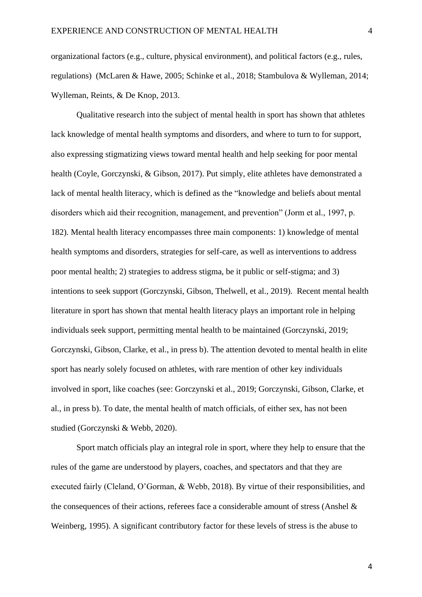organizational factors (e.g., culture, physical environment), and political factors (e.g., rules, regulations) (McLaren & Hawe, 2005; Schinke et al., 2018; Stambulova & Wylleman, 2014; Wylleman, Reints, & De Knop, 2013.

Qualitative research into the subject of mental health in sport has shown that athletes lack knowledge of mental health symptoms and disorders, and where to turn to for support, also expressing stigmatizing views toward mental health and help seeking for poor mental health (Coyle, Gorczynski, & Gibson, 2017). Put simply, elite athletes have demonstrated a lack of mental health literacy, which is defined as the "knowledge and beliefs about mental disorders which aid their recognition, management, and prevention" (Jorm et al., 1997, p. 182). Mental health literacy encompasses three main components: 1) knowledge of mental health symptoms and disorders, strategies for self-care, as well as interventions to address poor mental health; 2) strategies to address stigma, be it public or self-stigma; and 3) intentions to seek support (Gorczynski, Gibson, Thelwell, et al., 2019). Recent mental health literature in sport has shown that mental health literacy plays an important role in helping individuals seek support, permitting mental health to be maintained (Gorczynski, 2019; Gorczynski, Gibson, Clarke, et al., in press b). The attention devoted to mental health in elite sport has nearly solely focused on athletes, with rare mention of other key individuals involved in sport, like coaches (see: Gorczynski et al., 2019; Gorczynski, Gibson, Clarke, et al., in press b). To date, the mental health of match officials, of either sex, has not been studied (Gorczynski & Webb, 2020).

Sport match officials play an integral role in sport, where they help to ensure that the rules of the game are understood by players, coaches, and spectators and that they are executed fairly (Cleland, O'Gorman, & Webb, 2018). By virtue of their responsibilities, and the consequences of their actions, referees face a considerable amount of stress (Anshel & Weinberg, 1995). A significant contributory factor for these levels of stress is the abuse to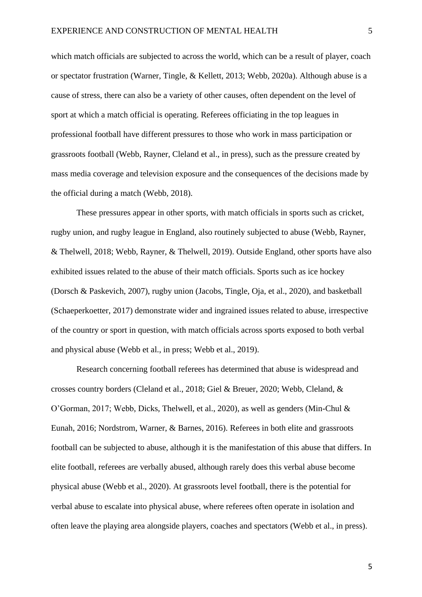which match officials are subjected to across the world, which can be a result of player, coach or spectator frustration (Warner, Tingle, & Kellett, 2013; Webb, 2020a). Although abuse is a cause of stress, there can also be a variety of other causes, often dependent on the level of sport at which a match official is operating. Referees officiating in the top leagues in professional football have different pressures to those who work in mass participation or grassroots football (Webb, Rayner, Cleland et al., in press), such as the pressure created by mass media coverage and television exposure and the consequences of the decisions made by the official during a match (Webb, 2018).

These pressures appear in other sports, with match officials in sports such as cricket, rugby union, and rugby league in England, also routinely subjected to abuse (Webb, Rayner, & Thelwell, 2018; Webb, Rayner, & Thelwell, 2019). Outside England, other sports have also exhibited issues related to the abuse of their match officials. Sports such as ice hockey (Dorsch & Paskevich, 2007), rugby union (Jacobs, Tingle, Oja, et al., 2020), and basketball (Schaeperkoetter, 2017) demonstrate wider and ingrained issues related to abuse, irrespective of the country or sport in question, with match officials across sports exposed to both verbal and physical abuse (Webb et al., in press; Webb et al., 2019).

Research concerning football referees has determined that abuse is widespread and crosses country borders (Cleland et al., 2018; Giel & Breuer, 2020; Webb, Cleland, & O'Gorman, 2017; Webb, Dicks, Thelwell, et al., 2020), as well as genders (Min-Chul & Eunah, 2016; Nordstrom, Warner, & Barnes, 2016). Referees in both elite and grassroots football can be subjected to abuse, although it is the manifestation of this abuse that differs. In elite football, referees are verbally abused, although rarely does this verbal abuse become physical abuse (Webb et al., 2020). At grassroots level football, there is the potential for verbal abuse to escalate into physical abuse, where referees often operate in isolation and often leave the playing area alongside players, coaches and spectators (Webb et al., in press).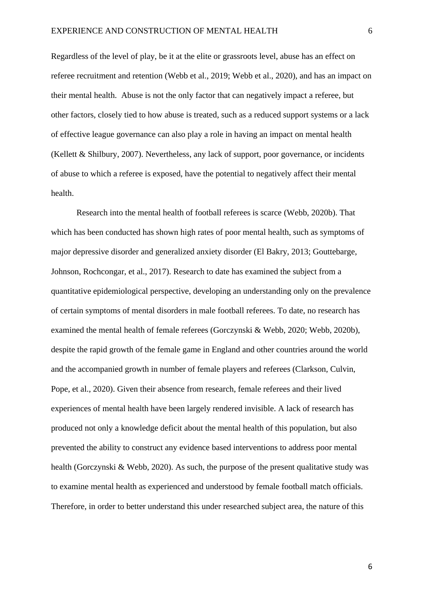Regardless of the level of play, be it at the elite or grassroots level, abuse has an effect on referee recruitment and retention (Webb et al., 2019; Webb et al., 2020), and has an impact on their mental health. Abuse is not the only factor that can negatively impact a referee, but other factors, closely tied to how abuse is treated, such as a reduced support systems or a lack of effective league governance can also play a role in having an impact on mental health (Kellett & Shilbury, 2007). Nevertheless, any lack of support, poor governance, or incidents of abuse to which a referee is exposed, have the potential to negatively affect their mental health.

Research into the mental health of football referees is scarce (Webb, 2020b). That which has been conducted has shown high rates of poor mental health, such as symptoms of major depressive disorder and generalized anxiety disorder (El Bakry, 2013; Gouttebarge, Johnson, Rochcongar, et al., 2017). Research to date has examined the subject from a quantitative epidemiological perspective, developing an understanding only on the prevalence of certain symptoms of mental disorders in male football referees. To date, no research has examined the mental health of female referees (Gorczynski & Webb, 2020; Webb, 2020b), despite the rapid growth of the female game in England and other countries around the world and the accompanied growth in number of female players and referees (Clarkson, Culvin, Pope, et al., 2020). Given their absence from research, female referees and their lived experiences of mental health have been largely rendered invisible. A lack of research has produced not only a knowledge deficit about the mental health of this population, but also prevented the ability to construct any evidence based interventions to address poor mental health (Gorczynski & Webb, 2020). As such, the purpose of the present qualitative study was to examine mental health as experienced and understood by female football match officials. Therefore, in order to better understand this under researched subject area, the nature of this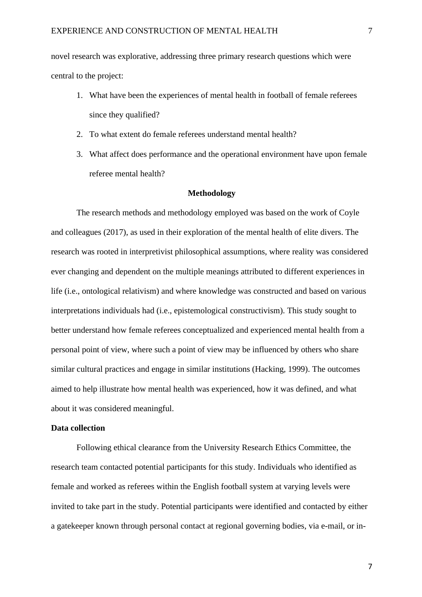novel research was explorative, addressing three primary research questions which were central to the project:

- 1. What have been the experiences of mental health in football of female referees since they qualified?
- 2. To what extent do female referees understand mental health?
- 3. What affect does performance and the operational environment have upon female referee mental health?

#### **Methodology**

The research methods and methodology employed was based on the work of Coyle and colleagues (2017), as used in their exploration of the mental health of elite divers. The research was rooted in interpretivist philosophical assumptions, where reality was considered ever changing and dependent on the multiple meanings attributed to different experiences in life (i.e., ontological relativism) and where knowledge was constructed and based on various interpretations individuals had (i.e., epistemological constructivism). This study sought to better understand how female referees conceptualized and experienced mental health from a personal point of view, where such a point of view may be influenced by others who share similar cultural practices and engage in similar institutions (Hacking, 1999). The outcomes aimed to help illustrate how mental health was experienced, how it was defined, and what about it was considered meaningful.

#### **Data collection**

Following ethical clearance from the University Research Ethics Committee, the research team contacted potential participants for this study. Individuals who identified as female and worked as referees within the English football system at varying levels were invited to take part in the study. Potential participants were identified and contacted by either a gatekeeper known through personal contact at regional governing bodies, via e-mail, or in-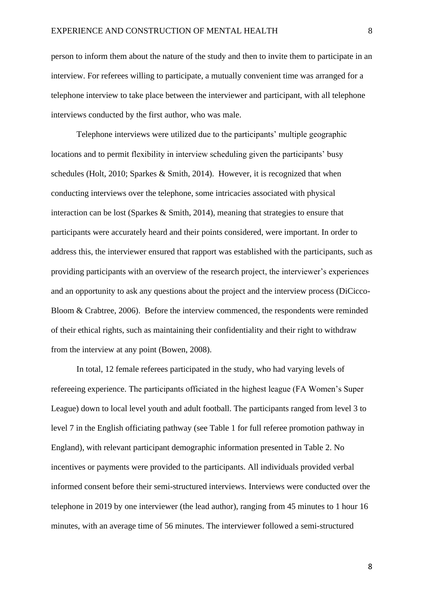person to inform them about the nature of the study and then to invite them to participate in an interview. For referees willing to participate, a mutually convenient time was arranged for a telephone interview to take place between the interviewer and participant, with all telephone interviews conducted by the first author, who was male.

Telephone interviews were utilized due to the participants' multiple geographic locations and to permit flexibility in interview scheduling given the participants' busy schedules (Holt, 2010; Sparkes & Smith, 2014). However, it is recognized that when conducting interviews over the telephone, some intricacies associated with physical interaction can be lost (Sparkes & Smith, 2014), meaning that strategies to ensure that participants were accurately heard and their points considered, were important. In order to address this, the interviewer ensured that rapport was established with the participants, such as providing participants with an overview of the research project, the interviewer's experiences and an opportunity to ask any questions about the project and the interview process (DiCicco-Bloom & Crabtree, 2006). Before the interview commenced, the respondents were reminded of their ethical rights, such as maintaining their confidentiality and their right to withdraw from the interview at any point (Bowen, 2008).

In total, 12 female referees participated in the study, who had varying levels of refereeing experience. The participants officiated in the highest league (FA Women's Super League) down to local level youth and adult football. The participants ranged from level 3 to level 7 in the English officiating pathway (see Table 1 for full referee promotion pathway in England), with relevant participant demographic information presented in Table 2. No incentives or payments were provided to the participants. All individuals provided verbal informed consent before their semi-structured interviews. Interviews were conducted over the telephone in 2019 by one interviewer (the lead author), ranging from 45 minutes to 1 hour 16 minutes, with an average time of 56 minutes. The interviewer followed a semi-structured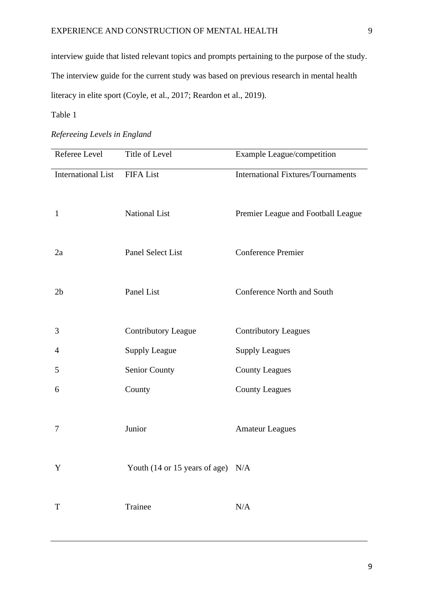interview guide that listed relevant topics and prompts pertaining to the purpose of the study. The interview guide for the current study was based on previous research in mental health literacy in elite sport (Coyle, et al., 2017; Reardon et al., 2019).

## Table 1

|  | Refereeing Levels in England |  |  |
|--|------------------------------|--|--|
|  |                              |  |  |

| Referee Level             | Title of Level                      | Example League/competition                |
|---------------------------|-------------------------------------|-------------------------------------------|
| <b>International List</b> | <b>FIFA List</b>                    | <b>International Fixtures/Tournaments</b> |
| $\mathbf{1}$              | <b>National List</b>                | Premier League and Football League        |
| 2a                        | Panel Select List                   | <b>Conference Premier</b>                 |
| 2 <sub>b</sub>            | Panel List                          | <b>Conference North and South</b>         |
| 3                         | <b>Contributory League</b>          | <b>Contributory Leagues</b>               |
| 4                         | <b>Supply League</b>                | <b>Supply Leagues</b>                     |
| 5                         | Senior County                       | <b>County Leagues</b>                     |
| 6                         | County                              | <b>County Leagues</b>                     |
| 7                         | Junior                              | <b>Amateur Leagues</b>                    |
| Y                         | Youth (14 or 15 years of age) $N/A$ |                                           |
| $\mathbf T$               | Trainee                             | $\rm N/A$                                 |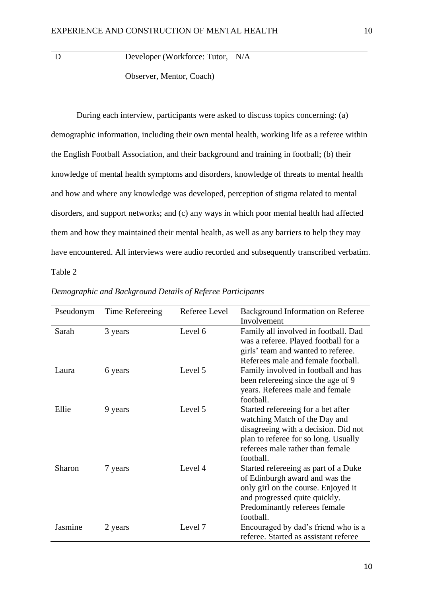D Developer (Workforce: Tutor, N/A Observer, Mentor, Coach)

During each interview, participants were asked to discuss topics concerning: (a) demographic information, including their own mental health, working life as a referee within the English Football Association, and their background and training in football; (b) their knowledge of mental health symptoms and disorders, knowledge of threats to mental health and how and where any knowledge was developed, perception of stigma related to mental disorders, and support networks; and (c) any ways in which poor mental health had affected them and how they maintained their mental health, as well as any barriers to help they may have encountered. All interviews were audio recorded and subsequently transcribed verbatim. Table 2

| Pseudonym | Time Refereeing | Referee Level | Background Information on Referee<br>Involvement                                                                                                                                                     |
|-----------|-----------------|---------------|------------------------------------------------------------------------------------------------------------------------------------------------------------------------------------------------------|
| Sarah     | 3 years         | Level 6       | Family all involved in football. Dad<br>was a referee. Played football for a<br>girls' team and wanted to referee.<br>Referees male and female football.                                             |
| Laura     | 6 years         | Level 5       | Family involved in football and has<br>been refereeing since the age of 9<br>years. Referees male and female<br>football.                                                                            |
| Ellie     | 9 years         | Level 5       | Started refereeing for a bet after<br>watching Match of the Day and<br>disagreeing with a decision. Did not<br>plan to referee for so long. Usually<br>referees male rather than female<br>football. |
| Sharon    | 7 years         | Level 4       | Started refereeing as part of a Duke<br>of Edinburgh award and was the<br>only girl on the course. Enjoyed it<br>and progressed quite quickly.<br>Predominantly referees female<br>football.         |
| Jasmine   | 2 years         | Level 7       | Encouraged by dad's friend who is a<br>referee. Started as assistant referee                                                                                                                         |

*Demographic and Background Details of Referee Participants*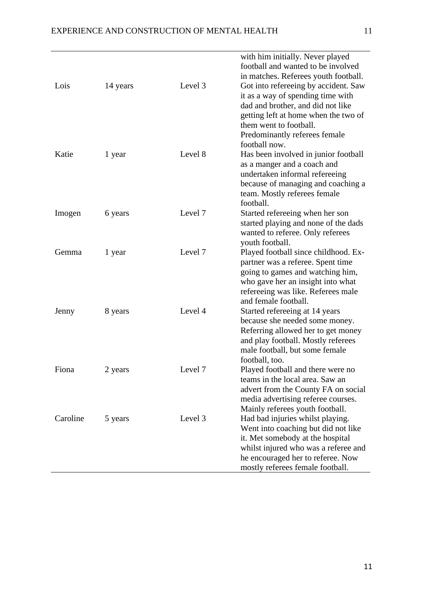| Lois     | 14 years | Level 3 | with him initially. Never played<br>football and wanted to be involved<br>in matches. Referees youth football.<br>Got into refereeing by accident. Saw<br>it as a way of spending time with<br>dad and brother, and did not like<br>getting left at home when the two of<br>them went to football. |
|----------|----------|---------|----------------------------------------------------------------------------------------------------------------------------------------------------------------------------------------------------------------------------------------------------------------------------------------------------|
| Katie    | 1 year   | Level 8 | Predominantly referees female<br>football now.<br>Has been involved in junior football<br>as a manger and a coach and<br>undertaken informal refereeing<br>because of managing and coaching a<br>team. Mostly referees female                                                                      |
| Imogen   | 6 years  | Level 7 | football.<br>Started refereeing when her son<br>started playing and none of the dads<br>wanted to referee. Only referees                                                                                                                                                                           |
| Gemma    | 1 year   | Level 7 | youth football.<br>Played football since childhood. Ex-<br>partner was a referee. Spent time<br>going to games and watching him,<br>who gave her an insight into what<br>refereeing was like. Referees male                                                                                        |
| Jenny    | 8 years  | Level 4 | and female football.<br>Started refereeing at 14 years<br>because she needed some money.<br>Referring allowed her to get money<br>and play football. Mostly referees<br>male football, but some female<br>football, too.                                                                           |
| Fiona    | 2 years  | Level 7 | Played football and there were no<br>teams in the local area. Saw an<br>advert from the County FA on social<br>media advertising referee courses.                                                                                                                                                  |
| Caroline | 5 years  | Level 3 | Mainly referees youth football.<br>Had bad injuries whilst playing.<br>Went into coaching but did not like<br>it. Met somebody at the hospital<br>whilst injured who was a referee and<br>he encouraged her to referee. Now<br>mostly referees female football.                                    |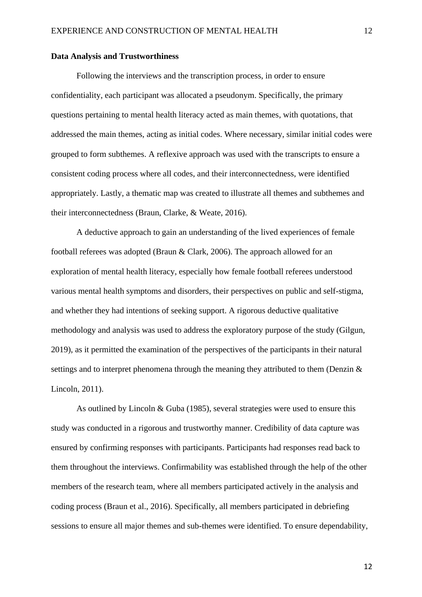#### **Data Analysis and Trustworthiness**

Following the interviews and the transcription process, in order to ensure confidentiality, each participant was allocated a pseudonym. Specifically, the primary questions pertaining to mental health literacy acted as main themes, with quotations, that addressed the main themes, acting as initial codes. Where necessary, similar initial codes were grouped to form subthemes. A reflexive approach was used with the transcripts to ensure a consistent coding process where all codes, and their interconnectedness, were identified appropriately. Lastly, a thematic map was created to illustrate all themes and subthemes and their interconnectedness (Braun, Clarke, & Weate, 2016).

A deductive approach to gain an understanding of the lived experiences of female football referees was adopted (Braun & Clark, 2006). The approach allowed for an exploration of mental health literacy, especially how female football referees understood various mental health symptoms and disorders, their perspectives on public and self-stigma, and whether they had intentions of seeking support. A rigorous deductive qualitative methodology and analysis was used to address the exploratory purpose of the study (Gilgun, 2019), as it permitted the examination of the perspectives of the participants in their natural settings and to interpret phenomena through the meaning they attributed to them (Denzin & Lincoln, 2011).

As outlined by Lincoln & Guba (1985), several strategies were used to ensure this study was conducted in a rigorous and trustworthy manner. Credibility of data capture was ensured by confirming responses with participants. Participants had responses read back to them throughout the interviews. Confirmability was established through the help of the other members of the research team, where all members participated actively in the analysis and coding process (Braun et al., 2016). Specifically, all members participated in debriefing sessions to ensure all major themes and sub-themes were identified. To ensure dependability,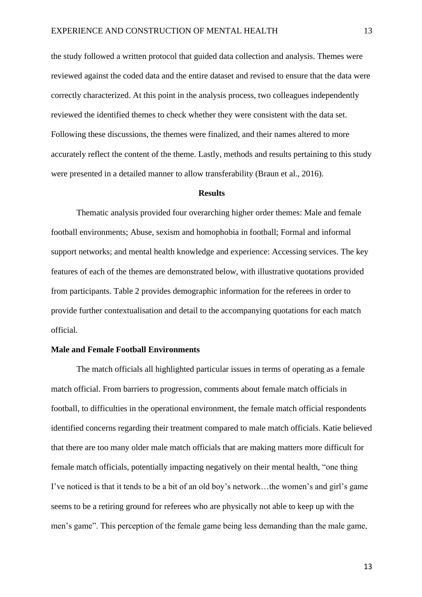the study followed a written protocol that guided data collection and analysis. Themes were reviewed against the coded data and the entire dataset and revised to ensure that the data were correctly characterized. At this point in the analysis process, two colleagues independently reviewed the identified themes to check whether they were consistent with the data set. Following these discussions, the themes were finalized, and their names altered to more accurately reflect the content of the theme. Lastly, methods and results pertaining to this study were presented in a detailed manner to allow transferability (Braun et al., 2016).

#### **Results**

Thematic analysis provided four overarching higher order themes: Male and female football environments; Abuse, sexism and homophobia in football; Formal and informal support networks; and mental health knowledge and experience: Accessing services. The key features of each of the themes are demonstrated below, with illustrative quotations provided from participants. Table 2 provides demographic information for the referees in order to provide further contextualisation and detail to the accompanying quotations for each match official.

#### **Male and Female Football Environments**

The match officials all highlighted particular issues in terms of operating as a female match official. From barriers to progression, comments about female match officials in football, to difficulties in the operational environment, the female match official respondents identified concerns regarding their treatment compared to male match officials. Katie believed that there are too many older male match officials that are making matters more difficult for female match officials, potentially impacting negatively on their mental health, "one thing I've noticed is that it tends to be a bit of an old boy's network…the women's and girl's game seems to be a retiring ground for referees who are physically not able to keep up with the men's game". This perception of the female game being less demanding than the male game,

13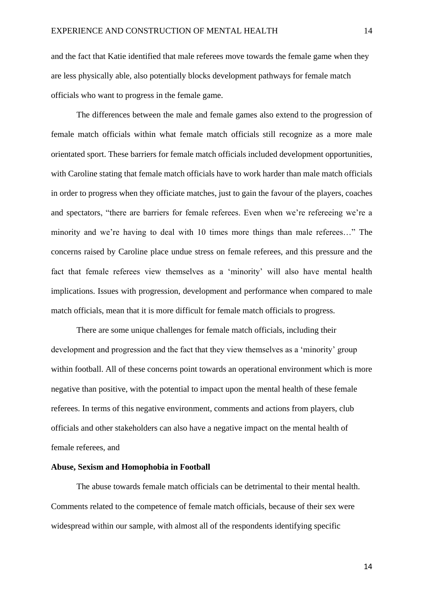and the fact that Katie identified that male referees move towards the female game when they are less physically able, also potentially blocks development pathways for female match officials who want to progress in the female game.

The differences between the male and female games also extend to the progression of female match officials within what female match officials still recognize as a more male orientated sport. These barriers for female match officials included development opportunities, with Caroline stating that female match officials have to work harder than male match officials in order to progress when they officiate matches, just to gain the favour of the players, coaches and spectators, "there are barriers for female referees. Even when we're refereeing we're a minority and we're having to deal with 10 times more things than male referees…" The concerns raised by Caroline place undue stress on female referees, and this pressure and the fact that female referees view themselves as a 'minority' will also have mental health implications. Issues with progression, development and performance when compared to male match officials, mean that it is more difficult for female match officials to progress.

There are some unique challenges for female match officials, including their development and progression and the fact that they view themselves as a 'minority' group within football. All of these concerns point towards an operational environment which is more negative than positive, with the potential to impact upon the mental health of these female referees. In terms of this negative environment, comments and actions from players, club officials and other stakeholders can also have a negative impact on the mental health of female referees, and

#### **Abuse, Sexism and Homophobia in Football**

The abuse towards female match officials can be detrimental to their mental health. Comments related to the competence of female match officials, because of their sex were widespread within our sample, with almost all of the respondents identifying specific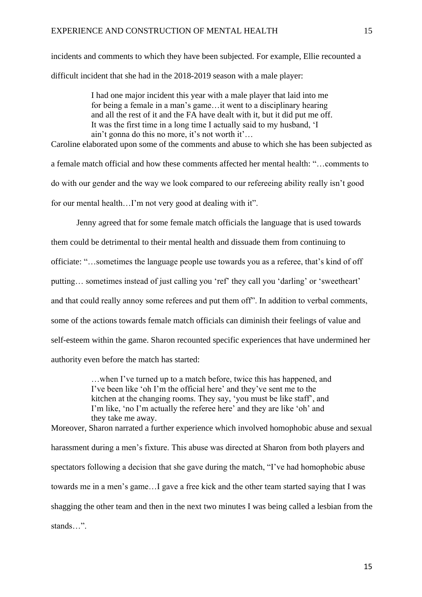incidents and comments to which they have been subjected. For example, Ellie recounted a difficult incident that she had in the 2018-2019 season with a male player:

> I had one major incident this year with a male player that laid into me for being a female in a man's game…it went to a disciplinary hearing and all the rest of it and the FA have dealt with it, but it did put me off. It was the first time in a long time I actually said to my husband, 'I ain't gonna do this no more, it's not worth it'…

Caroline elaborated upon some of the comments and abuse to which she has been subjected as a female match official and how these comments affected her mental health: "…comments to do with our gender and the way we look compared to our refereeing ability really isn't good for our mental health…I'm not very good at dealing with it".

Jenny agreed that for some female match officials the language that is used towards them could be detrimental to their mental health and dissuade them from continuing to officiate: "…sometimes the language people use towards you as a referee, that's kind of off putting… sometimes instead of just calling you 'ref' they call you 'darling' or 'sweetheart' and that could really annoy some referees and put them off". In addition to verbal comments, some of the actions towards female match officials can diminish their feelings of value and self-esteem within the game. Sharon recounted specific experiences that have undermined her authority even before the match has started:

> …when I've turned up to a match before, twice this has happened, and I've been like 'oh I'm the official here' and they've sent me to the kitchen at the changing rooms. They say, 'you must be like staff', and I'm like, 'no I'm actually the referee here' and they are like 'oh' and they take me away.

Moreover, Sharon narrated a further experience which involved homophobic abuse and sexual harassment during a men's fixture. This abuse was directed at Sharon from both players and spectators following a decision that she gave during the match, "I've had homophobic abuse towards me in a men's game…I gave a free kick and the other team started saying that I was shagging the other team and then in the next two minutes I was being called a lesbian from the stands "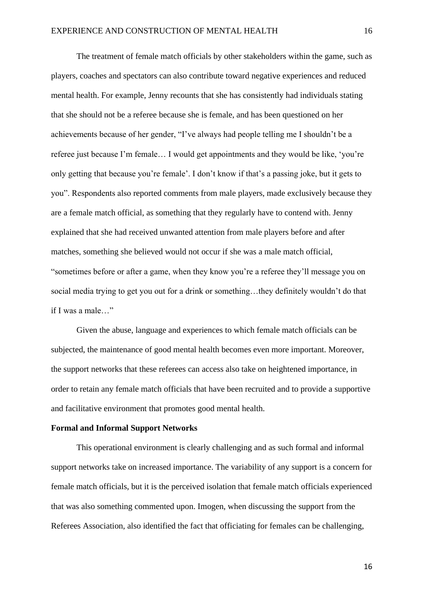The treatment of female match officials by other stakeholders within the game, such as players, coaches and spectators can also contribute toward negative experiences and reduced mental health. For example, Jenny recounts that she has consistently had individuals stating that she should not be a referee because she is female, and has been questioned on her achievements because of her gender, "I've always had people telling me I shouldn't be a referee just because I'm female… I would get appointments and they would be like, 'you're only getting that because you're female'. I don't know if that's a passing joke, but it gets to you". Respondents also reported comments from male players, made exclusively because they are a female match official, as something that they regularly have to contend with. Jenny explained that she had received unwanted attention from male players before and after matches, something she believed would not occur if she was a male match official, "sometimes before or after a game, when they know you're a referee they'll message you on social media trying to get you out for a drink or something…they definitely wouldn't do that if I was a male…"

Given the abuse, language and experiences to which female match officials can be subjected, the maintenance of good mental health becomes even more important. Moreover, the support networks that these referees can access also take on heightened importance, in order to retain any female match officials that have been recruited and to provide a supportive and facilitative environment that promotes good mental health.

#### **Formal and Informal Support Networks**

This operational environment is clearly challenging and as such formal and informal support networks take on increased importance. The variability of any support is a concern for female match officials, but it is the perceived isolation that female match officials experienced that was also something commented upon. Imogen, when discussing the support from the Referees Association, also identified the fact that officiating for females can be challenging,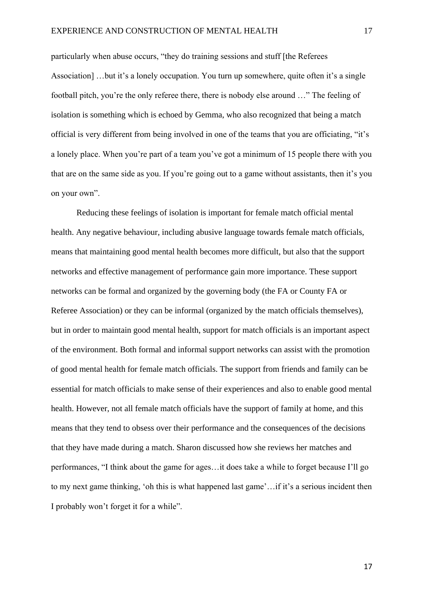particularly when abuse occurs, "they do training sessions and stuff [the Referees Association] …but it's a lonely occupation. You turn up somewhere, quite often it's a single football pitch, you're the only referee there, there is nobody else around …" The feeling of isolation is something which is echoed by Gemma, who also recognized that being a match official is very different from being involved in one of the teams that you are officiating, "it's a lonely place. When you're part of a team you've got a minimum of 15 people there with you that are on the same side as you. If you're going out to a game without assistants, then it's you on your own".

Reducing these feelings of isolation is important for female match official mental health. Any negative behaviour, including abusive language towards female match officials, means that maintaining good mental health becomes more difficult, but also that the support networks and effective management of performance gain more importance. These support networks can be formal and organized by the governing body (the FA or County FA or Referee Association) or they can be informal (organized by the match officials themselves), but in order to maintain good mental health, support for match officials is an important aspect of the environment. Both formal and informal support networks can assist with the promotion of good mental health for female match officials. The support from friends and family can be essential for match officials to make sense of their experiences and also to enable good mental health. However, not all female match officials have the support of family at home, and this means that they tend to obsess over their performance and the consequences of the decisions that they have made during a match. Sharon discussed how she reviews her matches and performances, "I think about the game for ages…it does take a while to forget because I'll go to my next game thinking, 'oh this is what happened last game'…if it's a serious incident then I probably won't forget it for a while".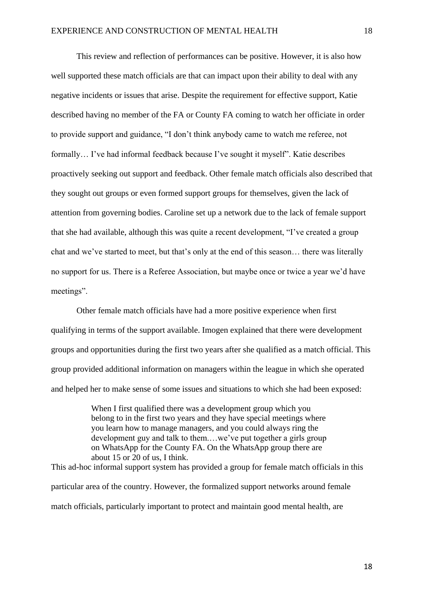This review and reflection of performances can be positive. However, it is also how well supported these match officials are that can impact upon their ability to deal with any negative incidents or issues that arise. Despite the requirement for effective support, Katie described having no member of the FA or County FA coming to watch her officiate in order to provide support and guidance, "I don't think anybody came to watch me referee, not formally… I've had informal feedback because I've sought it myself". Katie describes proactively seeking out support and feedback. Other female match officials also described that they sought out groups or even formed support groups for themselves, given the lack of attention from governing bodies. Caroline set up a network due to the lack of female support that she had available, although this was quite a recent development, "I've created a group chat and we've started to meet, but that's only at the end of this season… there was literally no support for us. There is a Referee Association, but maybe once or twice a year we'd have meetings".

Other female match officials have had a more positive experience when first qualifying in terms of the support available. Imogen explained that there were development groups and opportunities during the first two years after she qualified as a match official. This group provided additional information on managers within the league in which she operated and helped her to make sense of some issues and situations to which she had been exposed:

When I first qualified there was a development group which you belong to in the first two years and they have special meetings where you learn how to manage managers, and you could always ring the development guy and talk to them.…we've put together a girls group on WhatsApp for the County FA. On the WhatsApp group there are about 15 or 20 of us, I think. This ad-hoc informal support system has provided a group for female match officials in this

particular area of the country. However, the formalized support networks around female match officials, particularly important to protect and maintain good mental health, are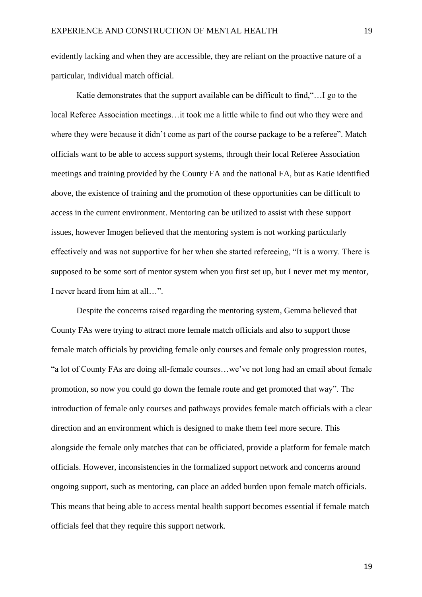evidently lacking and when they are accessible, they are reliant on the proactive nature of a particular, individual match official.

Katie demonstrates that the support available can be difficult to find,"…I go to the local Referee Association meetings…it took me a little while to find out who they were and where they were because it didn't come as part of the course package to be a referee". Match officials want to be able to access support systems, through their local Referee Association meetings and training provided by the County FA and the national FA, but as Katie identified above, the existence of training and the promotion of these opportunities can be difficult to access in the current environment. Mentoring can be utilized to assist with these support issues, however Imogen believed that the mentoring system is not working particularly effectively and was not supportive for her when she started refereeing, "It is a worry. There is supposed to be some sort of mentor system when you first set up, but I never met my mentor, I never heard from him at all…".

Despite the concerns raised regarding the mentoring system, Gemma believed that County FAs were trying to attract more female match officials and also to support those female match officials by providing female only courses and female only progression routes, "a lot of County FAs are doing all-female courses…we've not long had an email about female promotion, so now you could go down the female route and get promoted that way". The introduction of female only courses and pathways provides female match officials with a clear direction and an environment which is designed to make them feel more secure. This alongside the female only matches that can be officiated, provide a platform for female match officials. However, inconsistencies in the formalized support network and concerns around ongoing support, such as mentoring, can place an added burden upon female match officials. This means that being able to access mental health support becomes essential if female match officials feel that they require this support network.

19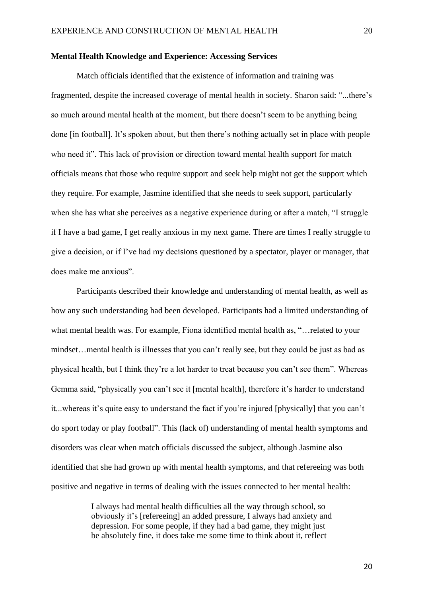#### **Mental Health Knowledge and Experience: Accessing Services**

Match officials identified that the existence of information and training was fragmented, despite the increased coverage of mental health in society. Sharon said: "...there's so much around mental health at the moment, but there doesn't seem to be anything being done [in football]. It's spoken about, but then there's nothing actually set in place with people who need it". This lack of provision or direction toward mental health support for match officials means that those who require support and seek help might not get the support which they require. For example, Jasmine identified that she needs to seek support, particularly when she has what she perceives as a negative experience during or after a match, "I struggle if I have a bad game, I get really anxious in my next game. There are times I really struggle to give a decision, or if I've had my decisions questioned by a spectator, player or manager, that does make me anxious".

Participants described their knowledge and understanding of mental health, as well as how any such understanding had been developed. Participants had a limited understanding of what mental health was. For example, Fiona identified mental health as, "…related to your mindset…mental health is illnesses that you can't really see, but they could be just as bad as physical health, but I think they're a lot harder to treat because you can't see them". Whereas Gemma said, "physically you can't see it [mental health], therefore it's harder to understand it...whereas it's quite easy to understand the fact if you're injured [physically] that you can't do sport today or play football". This (lack of) understanding of mental health symptoms and disorders was clear when match officials discussed the subject, although Jasmine also identified that she had grown up with mental health symptoms, and that refereeing was both positive and negative in terms of dealing with the issues connected to her mental health:

> I always had mental health difficulties all the way through school, so obviously it's [refereeing] an added pressure, I always had anxiety and depression. For some people, if they had a bad game, they might just be absolutely fine, it does take me some time to think about it, reflect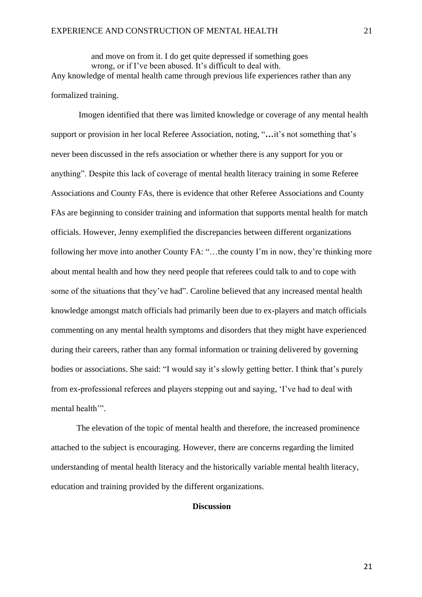and move on from it. I do get quite depressed if something goes wrong, or if I've been abused. It's difficult to deal with. Any knowledge of mental health came through previous life experiences rather than any formalized training.

Imogen identified that there was limited knowledge or coverage of any mental health support or provision in her local Referee Association, noting, "**…**it's not something that's never been discussed in the refs association or whether there is any support for you or anything". Despite this lack of coverage of mental health literacy training in some Referee Associations and County FAs, there is evidence that other Referee Associations and County FAs are beginning to consider training and information that supports mental health for match officials. However, Jenny exemplified the discrepancies between different organizations following her move into another County FA: "...the county I'm in now, they're thinking more about mental health and how they need people that referees could talk to and to cope with some of the situations that they've had". Caroline believed that any increased mental health knowledge amongst match officials had primarily been due to ex-players and match officials commenting on any mental health symptoms and disorders that they might have experienced during their careers, rather than any formal information or training delivered by governing bodies or associations. She said: "I would say it's slowly getting better. I think that's purely from ex-professional referees and players stepping out and saying, 'I've had to deal with mental health'".

The elevation of the topic of mental health and therefore, the increased prominence attached to the subject is encouraging. However, there are concerns regarding the limited understanding of mental health literacy and the historically variable mental health literacy, education and training provided by the different organizations.

#### **Discussion**

21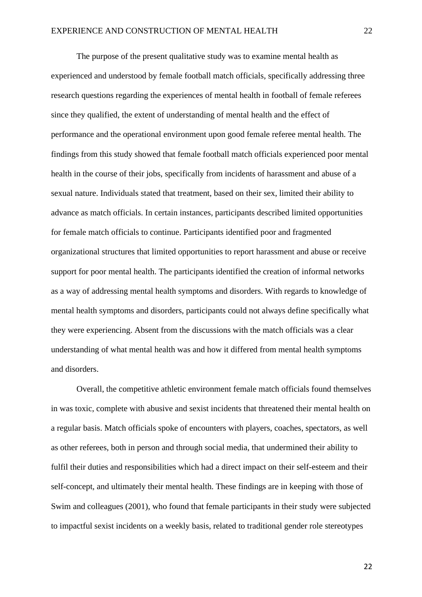The purpose of the present qualitative study was to examine mental health as experienced and understood by female football match officials, specifically addressing three research questions regarding the experiences of mental health in football of female referees since they qualified, the extent of understanding of mental health and the effect of performance and the operational environment upon good female referee mental health. The findings from this study showed that female football match officials experienced poor mental health in the course of their jobs, specifically from incidents of harassment and abuse of a sexual nature. Individuals stated that treatment, based on their sex, limited their ability to advance as match officials. In certain instances, participants described limited opportunities for female match officials to continue. Participants identified poor and fragmented organizational structures that limited opportunities to report harassment and abuse or receive support for poor mental health. The participants identified the creation of informal networks as a way of addressing mental health symptoms and disorders. With regards to knowledge of mental health symptoms and disorders, participants could not always define specifically what they were experiencing. Absent from the discussions with the match officials was a clear understanding of what mental health was and how it differed from mental health symptoms and disorders.

Overall, the competitive athletic environment female match officials found themselves in was toxic, complete with abusive and sexist incidents that threatened their mental health on a regular basis. Match officials spoke of encounters with players, coaches, spectators, as well as other referees, both in person and through social media, that undermined their ability to fulfil their duties and responsibilities which had a direct impact on their self-esteem and their self-concept, and ultimately their mental health. These findings are in keeping with those of Swim and colleagues (2001), who found that female participants in their study were subjected to impactful sexist incidents on a weekly basis, related to traditional gender role stereotypes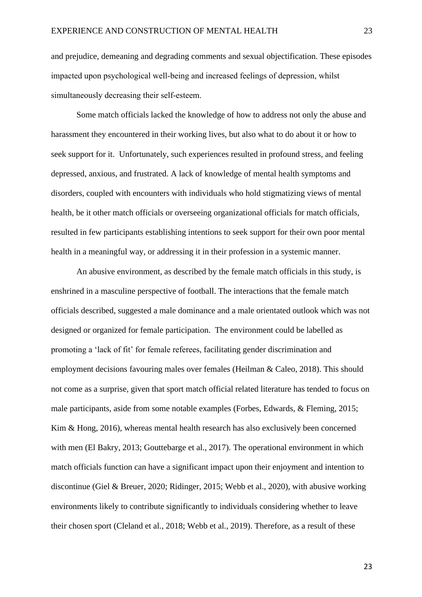and prejudice, demeaning and degrading comments and sexual objectification. These episodes impacted upon psychological well-being and increased feelings of depression, whilst simultaneously decreasing their self-esteem.

Some match officials lacked the knowledge of how to address not only the abuse and harassment they encountered in their working lives, but also what to do about it or how to seek support for it. Unfortunately, such experiences resulted in profound stress, and feeling depressed, anxious, and frustrated. A lack of knowledge of mental health symptoms and disorders, coupled with encounters with individuals who hold stigmatizing views of mental health, be it other match officials or overseeing organizational officials for match officials, resulted in few participants establishing intentions to seek support for their own poor mental health in a meaningful way, or addressing it in their profession in a systemic manner.

An abusive environment, as described by the female match officials in this study, is enshrined in a masculine perspective of football. The interactions that the female match officials described, suggested a male dominance and a male orientated outlook which was not designed or organized for female participation. The environment could be labelled as promoting a 'lack of fit' for female referees, facilitating gender discrimination and employment decisions favouring males over females (Heilman & Caleo, 2018). This should not come as a surprise, given that sport match official related literature has tended to focus on male participants, aside from some notable examples (Forbes, Edwards, & Fleming, 2015; Kim & Hong, 2016), whereas mental health research has also exclusively been concerned with men (El Bakry, 2013; Gouttebarge et al., 2017). The operational environment in which match officials function can have a significant impact upon their enjoyment and intention to discontinue (Giel & Breuer, 2020; Ridinger, 2015; Webb et al., 2020), with abusive working environments likely to contribute significantly to individuals considering whether to leave their chosen sport (Cleland et al., 2018; Webb et al., 2019). Therefore, as a result of these

23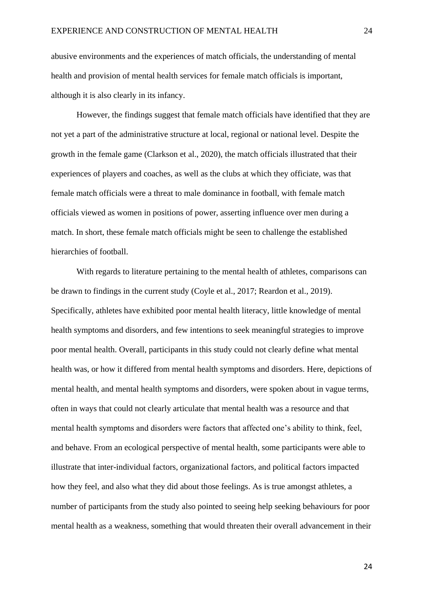abusive environments and the experiences of match officials, the understanding of mental health and provision of mental health services for female match officials is important, although it is also clearly in its infancy.

However, the findings suggest that female match officials have identified that they are not yet a part of the administrative structure at local, regional or national level. Despite the growth in the female game (Clarkson et al., 2020), the match officials illustrated that their experiences of players and coaches, as well as the clubs at which they officiate, was that female match officials were a threat to male dominance in football, with female match officials viewed as women in positions of power, asserting influence over men during a match. In short, these female match officials might be seen to challenge the established hierarchies of football.

With regards to literature pertaining to the mental health of athletes, comparisons can be drawn to findings in the current study (Coyle et al., 2017; Reardon et al., 2019). Specifically, athletes have exhibited poor mental health literacy, little knowledge of mental health symptoms and disorders, and few intentions to seek meaningful strategies to improve poor mental health. Overall, participants in this study could not clearly define what mental health was, or how it differed from mental health symptoms and disorders. Here, depictions of mental health, and mental health symptoms and disorders, were spoken about in vague terms, often in ways that could not clearly articulate that mental health was a resource and that mental health symptoms and disorders were factors that affected one's ability to think, feel, and behave. From an ecological perspective of mental health, some participants were able to illustrate that inter-individual factors, organizational factors, and political factors impacted how they feel, and also what they did about those feelings. As is true amongst athletes, a number of participants from the study also pointed to seeing help seeking behaviours for poor mental health as a weakness, something that would threaten their overall advancement in their

24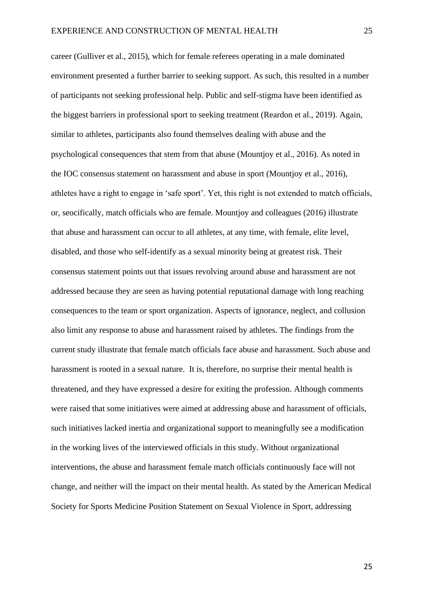career (Gulliver et al., 2015), which for female referees operating in a male dominated environment presented a further barrier to seeking support. As such, this resulted in a number of participants not seeking professional help. Public and self-stigma have been identified as the biggest barriers in professional sport to seeking treatment (Reardon et al., 2019). Again, similar to athletes, participants also found themselves dealing with abuse and the psychological consequences that stem from that abuse (Mountjoy et al., 2016). As noted in the IOC consensus statement on harassment and abuse in sport (Mountjoy et al., 2016), athletes have a right to engage in 'safe sport'. Yet, this right is not extended to match officials, or, seocifically, match officials who are female. Mountjoy and colleagues (2016) illustrate that abuse and harassment can occur to all athletes, at any time, with female, elite level, disabled, and those who self-identify as a sexual minority being at greatest risk. Their consensus statement points out that issues revolving around abuse and harassment are not addressed because they are seen as having potential reputational damage with long reaching consequences to the team or sport organization. Aspects of ignorance, neglect, and collusion also limit any response to abuse and harassment raised by athletes. The findings from the current study illustrate that female match officials face abuse and harassment. Such abuse and harassment is rooted in a sexual nature. It is, therefore, no surprise their mental health is threatened, and they have expressed a desire for exiting the profession. Although comments were raised that some initiatives were aimed at addressing abuse and harassment of officials, such initiatives lacked inertia and organizational support to meaningfully see a modification in the working lives of the interviewed officials in this study. Without organizational interventions, the abuse and harassment female match officials continuously face will not change, and neither will the impact on their mental health. As stated by the American Medical Society for Sports Medicine Position Statement on Sexual Violence in Sport, addressing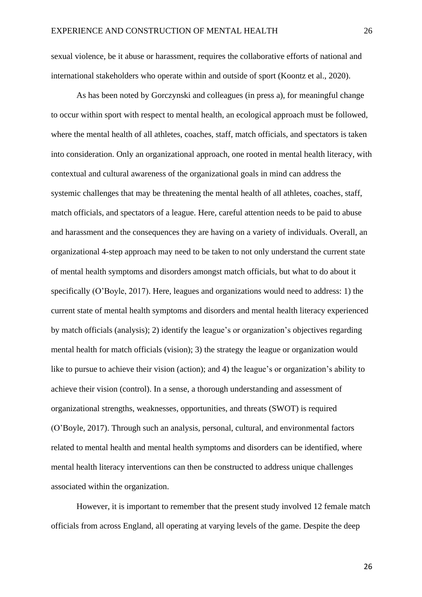sexual violence, be it abuse or harassment, requires the collaborative efforts of national and international stakeholders who operate within and outside of sport (Koontz et al., 2020).

As has been noted by Gorczynski and colleagues (in press a), for meaningful change to occur within sport with respect to mental health, an ecological approach must be followed, where the mental health of all athletes, coaches, staff, match officials, and spectators is taken into consideration. Only an organizational approach, one rooted in mental health literacy, with contextual and cultural awareness of the organizational goals in mind can address the systemic challenges that may be threatening the mental health of all athletes, coaches, staff, match officials, and spectators of a league. Here, careful attention needs to be paid to abuse and harassment and the consequences they are having on a variety of individuals. Overall, an organizational 4-step approach may need to be taken to not only understand the current state of mental health symptoms and disorders amongst match officials, but what to do about it specifically (O'Boyle, 2017). Here, leagues and organizations would need to address: 1) the current state of mental health symptoms and disorders and mental health literacy experienced by match officials (analysis); 2) identify the league's or organization's objectives regarding mental health for match officials (vision); 3) the strategy the league or organization would like to pursue to achieve their vision (action); and 4) the league's or organization's ability to achieve their vision (control). In a sense, a thorough understanding and assessment of organizational strengths, weaknesses, opportunities, and threats (SWOT) is required (O'Boyle, 2017). Through such an analysis, personal, cultural, and environmental factors related to mental health and mental health symptoms and disorders can be identified, where mental health literacy interventions can then be constructed to address unique challenges associated within the organization.

However, it is important to remember that the present study involved 12 female match officials from across England, all operating at varying levels of the game. Despite the deep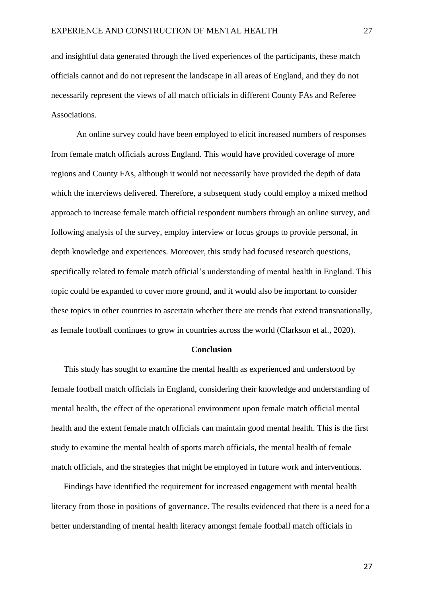and insightful data generated through the lived experiences of the participants, these match officials cannot and do not represent the landscape in all areas of England, and they do not necessarily represent the views of all match officials in different County FAs and Referee Associations.

An online survey could have been employed to elicit increased numbers of responses from female match officials across England. This would have provided coverage of more regions and County FAs, although it would not necessarily have provided the depth of data which the interviews delivered. Therefore, a subsequent study could employ a mixed method approach to increase female match official respondent numbers through an online survey, and following analysis of the survey, employ interview or focus groups to provide personal, in depth knowledge and experiences. Moreover, this study had focused research questions, specifically related to female match official's understanding of mental health in England. This topic could be expanded to cover more ground, and it would also be important to consider these topics in other countries to ascertain whether there are trends that extend transnationally, as female football continues to grow in countries across the world (Clarkson et al., 2020).

#### **Conclusion**

This study has sought to examine the mental health as experienced and understood by female football match officials in England, considering their knowledge and understanding of mental health, the effect of the operational environment upon female match official mental health and the extent female match officials can maintain good mental health. This is the first study to examine the mental health of sports match officials, the mental health of female match officials, and the strategies that might be employed in future work and interventions.

Findings have identified the requirement for increased engagement with mental health literacy from those in positions of governance. The results evidenced that there is a need for a better understanding of mental health literacy amongst female football match officials in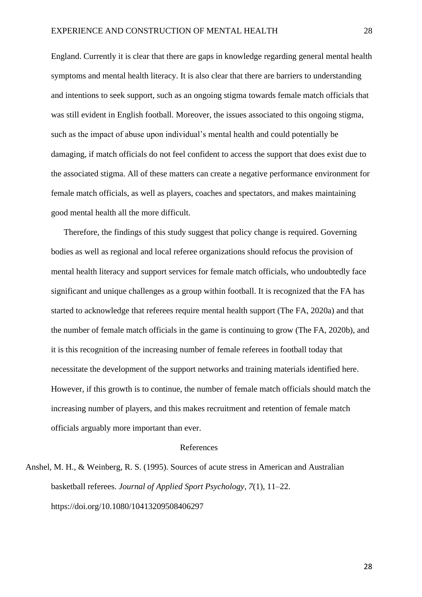England. Currently it is clear that there are gaps in knowledge regarding general mental health symptoms and mental health literacy. It is also clear that there are barriers to understanding and intentions to seek support, such as an ongoing stigma towards female match officials that was still evident in English football. Moreover, the issues associated to this ongoing stigma, such as the impact of abuse upon individual's mental health and could potentially be damaging, if match officials do not feel confident to access the support that does exist due to the associated stigma. All of these matters can create a negative performance environment for female match officials, as well as players, coaches and spectators, and makes maintaining good mental health all the more difficult.

Therefore, the findings of this study suggest that policy change is required. Governing bodies as well as regional and local referee organizations should refocus the provision of mental health literacy and support services for female match officials, who undoubtedly face significant and unique challenges as a group within football. It is recognized that the FA has started to acknowledge that referees require mental health support (The FA, 2020a) and that the number of female match officials in the game is continuing to grow (The FA, 2020b), and it is this recognition of the increasing number of female referees in football today that necessitate the development of the support networks and training materials identified here. However, if this growth is to continue, the number of female match officials should match the increasing number of players, and this makes recruitment and retention of female match officials arguably more important than ever.

#### References

Anshel, M. H., & Weinberg, R. S. (1995). Sources of acute stress in American and Australian basketball referees. *Journal of Applied Sport Psychology, 7*(1), 11–22. https://doi.org/10.1080/10413209508406297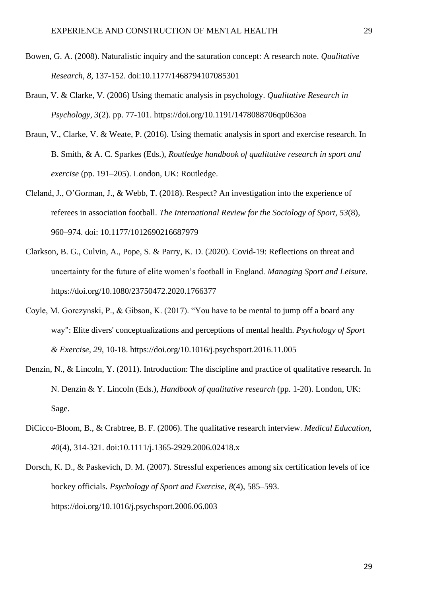- Bowen, G. A. (2008). Naturalistic inquiry and the saturation concept: A research note. *Qualitative Research, 8*, 137-152. doi:10.1177/1468794107085301
- Braun, V. & Clarke, V. (2006) Using thematic analysis in psychology. *Qualitative Research in Psychology, 3*(2). pp. 77-101. https://doi.org/10.1191/1478088706qp063oa
- Braun, V., Clarke, V. & Weate, P. (2016). Using thematic analysis in sport and exercise research. In B. Smith, & A. C. Sparkes (Eds.), *Routledge handbook of qualitative research in sport and exercise* (pp. 191–205). London, UK: Routledge.
- Cleland, J., O'Gorman, J., & Webb, T. (2018). Respect? An investigation into the experience of referees in association football. *The International Review for the Sociology of Sport, 53*(8), 960–974. doi: 10.1177/1012690216687979
- Clarkson, B. G., Culvin, A., Pope, S. & Parry, K. D. (2020). Covid-19: Reflections on threat and uncertainty for the future of elite women's football in England. *Managing Sport and Leisure.*  https://doi.org/10.1080/23750472.2020.1766377
- Coyle, M. Gorczynski, P., & Gibson, K. (2017). "You have to be mental to jump off a board any way": Elite divers' conceptualizations and perceptions of mental health. *Psychology of Sport & Exercise, 29*, 10-18. https://doi.org/10.1016/j.psychsport.2016.11.005
- Denzin, N., & Lincoln, Y. (2011). Introduction: The discipline and practice of qualitative research. In N. Denzin & Y. Lincoln (Eds.), *Handbook of qualitative research* (pp. 1-20). London, UK: Sage.
- DiCicco-Bloom, B., & Crabtree, B. F. (2006). The qualitative research interview. *Medical Education, 40*(4), 314-321. doi:10.1111/j.1365-2929.2006.02418.x
- Dorsch, K. D., & Paskevich, D. M. (2007). Stressful experiences among six certification levels of ice hockey officials. *Psychology of Sport and Exercise, 8*(4), 585–593. https://doi.org/10.1016/j.psychsport.2006.06.003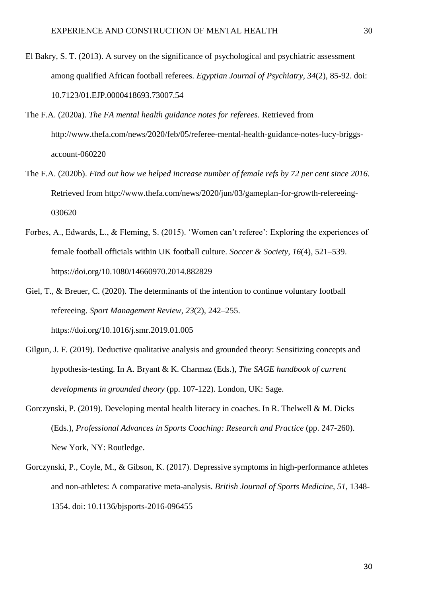- El Bakry, S. T. (2013). A survey on the significance of psychological and psychiatric assessment among qualified African football referees. *Egyptian Journal of Psychiatry, 34*(2), 85-92. doi: 10.7123/01.EJP.0000418693.73007.54
- The F.A. (2020a). *The FA mental health guidance notes for referees.* Retrieved from http://www.thefa.com/news/2020/feb/05/referee-mental-health-guidance-notes-lucy-briggsaccount-060220
- The F.A. (2020b). *Find out how we helped increase number of female refs by 72 per cent since 2016.* Retrieved from http://www.thefa.com/news/2020/jun/03/gameplan-for-growth-refereeing-030620
- Forbes, A., Edwards, L., & Fleming, S. (2015). 'Women can't referee': Exploring the experiences of female football officials within UK football culture. *Soccer & Society, 16*(4), 521–539. https://doi.org/10.1080/14660970.2014.882829
- Giel, T., & Breuer, C. (2020). The determinants of the intention to continue voluntary football refereeing. *Sport Management Review, 23*(2), 242–255. https://doi.org/10.1016/j.smr.2019.01.005
- Gilgun, J. F. (2019). Deductive qualitative analysis and grounded theory: Sensitizing concepts and hypothesis-testing. In A. Bryant & K. Charmaz (Eds.), *The SAGE handbook of current developments in grounded theory* (pp. 107-122). London, UK: Sage.
- Gorczynski, P. (2019). Developing mental health literacy in coaches. In R. Thelwell & M. Dicks (Eds.), *Professional Advances in Sports Coaching: Research and Practice* (pp. 247-260). New York, NY: Routledge.
- Gorczynski, P., Coyle, M., & Gibson, K. (2017). Depressive symptoms in high-performance athletes and non-athletes: A comparative meta-analysis. *British Journal of Sports Medicine, 51,* 1348- 1354. doi: 10.1136/bjsports-2016-096455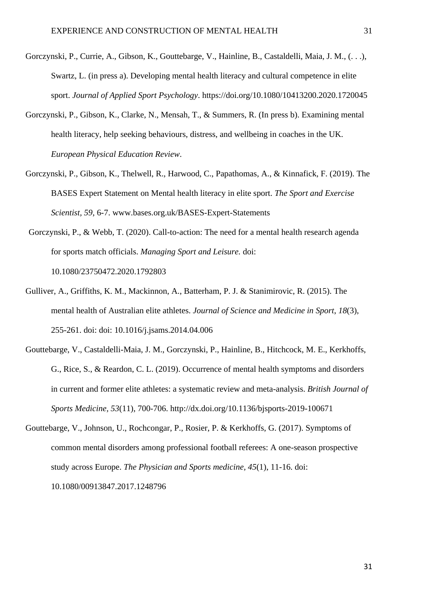- Gorczynski, P., Currie, A., Gibson, K., Gouttebarge, V., Hainline, B., Castaldelli, Maia, J. M., (. . .), Swartz, L. (in press a). Developing mental health literacy and cultural competence in elite sport. *Journal of Applied Sport Psychology*. https://doi.org/10.1080/10413200.2020.1720045
- Gorczynski, P., Gibson, K., Clarke, N., Mensah, T., & Summers, R. (In press b). Examining mental health literacy, help seeking behaviours, distress, and wellbeing in coaches in the UK. *European Physical Education Review*.
- Gorczynski, P., Gibson, K., Thelwell, R., Harwood, C., Papathomas, A., & Kinnafick, F. (2019). The BASES Expert Statement on Mental health literacy in elite sport. *The Sport and Exercise Scientist, 59*, 6-7. www.bases.org.uk/BASES-Expert-Statements
- Gorczynski, P., & Webb, T. (2020). Call-to-action: The need for a mental health research agenda for sports match officials. *Managing Sport and Leisure.* doi: 10.1080/23750472.2020.1792803
- Gulliver, A., Griffiths, K. M., Mackinnon, A., Batterham, P. J. & Stanimirovic, R. (2015). The mental health of Australian elite athletes. *Journal of Science and Medicine in Sport*, *18*(3), 255-261. doi: doi: 10.1016/j.jsams.2014.04.006
- Gouttebarge, V., Castaldelli-Maia, J. M., Gorczynski, P., Hainline, B., Hitchcock, M. E., Kerkhoffs, G., Rice, S., & Reardon, C. L. (2019). Occurrence of mental health symptoms and disorders in current and former elite athletes: a systematic review and meta-analysis. *British Journal of Sports Medicine, 53*(11), 700-706. http://dx.doi.org/10.1136/bjsports-2019-100671
- Gouttebarge, V., Johnson, U., Rochcongar, P., Rosier, P. & Kerkhoffs, G. (2017). Symptoms of common mental disorders among professional football referees: A one-season prospective study across Europe. *The Physician and Sports medicine, 45*(1), 11-16. doi: 10.1080/00913847.2017.1248796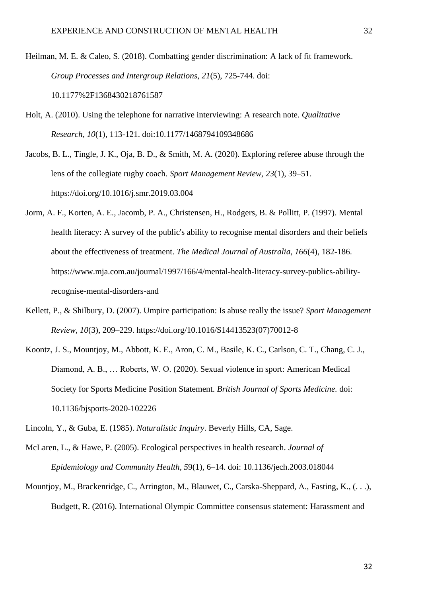Heilman, M. E. & Caleo, S. (2018). Combatting gender discrimination: A lack of fit framework. *Group Processes and Intergroup Relations, 21*(5), 725-744. doi: 10.1177%2F1368430218761587

- Holt, A. (2010). Using the telephone for narrative interviewing: A research note. *Qualitative Research, 10*(1), 113-121. doi:10.1177/1468794109348686
- Jacobs, B. L., Tingle, J. K., Oja, B. D., & Smith, M. A. (2020). Exploring referee abuse through the lens of the collegiate rugby coach. *Sport Management Review, 23*(1), 39–51. https://doi.org/10.1016/j.smr.2019.03.004
- Jorm, A. F., Korten, A. E., Jacomb, P. A., Christensen, H., Rodgers, B. & Pollitt, P. (1997). Mental health literacy: A survey of the public's ability to recognise mental disorders and their beliefs about the effectiveness of treatment. *The Medical Journal of Australia, 166*(4), 182-186. https://www.mja.com.au/journal/1997/166/4/mental-health-literacy-survey-publics-abilityrecognise-mental-disorders-and
- Kellett, P., & Shilbury, D. (2007). Umpire participation: Is abuse really the issue? *Sport Management Review, 10*(3), 209–229. https://doi.org/10.1016/S14413523(07)70012-8
- Koontz, J. S., Mountjoy, M., Abbott, K. E., Aron, C. M., Basile, K. C., Carlson, C. T., Chang, C. J., Diamond, A. B., … Roberts, W. O. (2020). Sexual violence in sport: American Medical Society for Sports Medicine Position Statement. *British Journal of Sports Medicine.* doi: 10.1136/bjsports-2020-102226
- Lincoln, Y., & Guba, E. (1985). *Naturalistic Inquiry*. Beverly Hills, CA, Sage.
- McLaren, L., & Hawe, P. (2005). Ecological perspectives in health research. *Journal of Epidemiology and Community Health, 5*9(1), 6–14. doi: 10.1136/jech.2003.018044
- Mountjoy, M., Brackenridge, C., Arrington, M., Blauwet, C., Carska-Sheppard, A., Fasting, K., (. . .), Budgett, R. (2016). International Olympic Committee consensus statement: Harassment and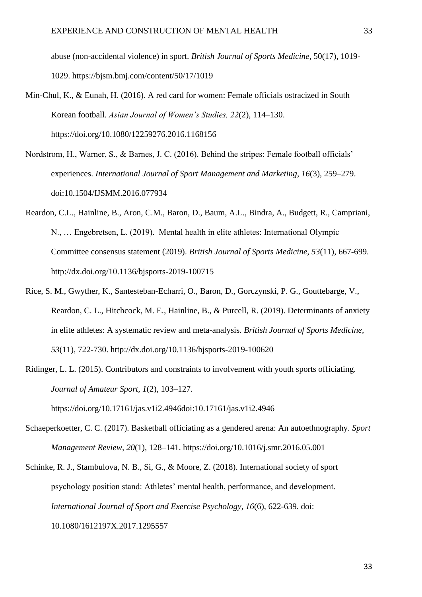abuse (non-accidental violence) in sport. *British Journal of Sports Medicine*, 50(17), 1019- 1029. https://bjsm.bmj.com/content/50/17/1019

- Min-Chul, K., & Eunah, H. (2016). A red card for women: Female officials ostracized in South Korean football. *Asian Journal of Women's Studies, 22*(2), 114–130. https://doi.org/10.1080/12259276.2016.1168156
- Nordstrom, H., Warner, S., & Barnes, J. C. (2016). Behind the stripes: Female football officials' experiences. *International Journal of Sport Management and Marketing, 16*(3), 259–279. doi:10.1504/IJSMM.2016.077934
- Reardon, C.L., Hainline, B., Aron, C.M., Baron, D., Baum, A.L., Bindra, A., Budgett, R., Campriani, N., … Engebretsen, L. (2019). Mental health in elite athletes: International Olympic Committee consensus statement (2019). *British Journal of Sports Medicine, 53*(11), 667-699. http://dx.doi.org/10.1136/bjsports-2019-100715
- Rice, S. M., Gwyther, K., Santesteban-Echarri, O., Baron, D., Gorczynski, P. G., Gouttebarge, V., Reardon, C. L., Hitchcock, M. E., Hainline, B., & Purcell, R. (2019). Determinants of anxiety in elite athletes: A systematic review and meta-analysis. *British Journal of Sports Medicine, 53*(11), 722-730. http://dx.doi.org/10.1136/bjsports-2019-100620
- Ridinger, L. L. (2015). Contributors and constraints to involvement with youth sports officiating. *Journal of Amateur Sport, 1*(2), 103–127.

https://doi.org/10.17161/jas.v1i2.4946doi:10.17161/jas.v1i2.4946

- Schaeperkoetter, C. C. (2017). Basketball officiating as a gendered arena: An autoethnography. *Sport Management Review, 20*(1), 128–141. https://doi.org/10.1016/j.smr.2016.05.001
- Schinke, R. J., Stambulova, N. B., Si, G., & Moore, Z. (2018). International society of sport psychology position stand: Athletes' mental health, performance, and development. *International Journal of Sport and Exercise Psychology, 16*(6), 622-639. doi: 10.1080/1612197X.2017.1295557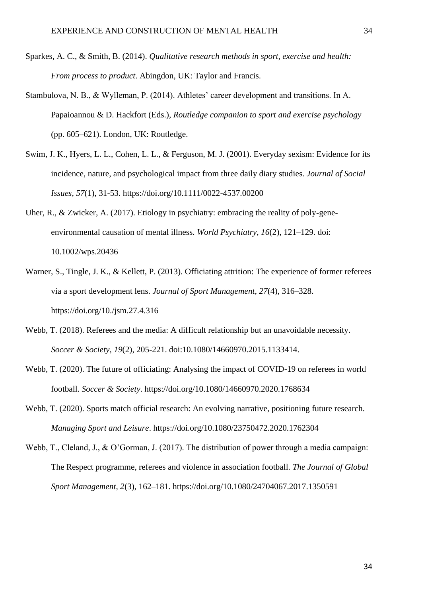- Sparkes, A. C., & Smith, B. (2014). *Qualitative research methods in sport, exercise and health: From process to product*. Abingdon, UK: Taylor and Francis.
- Stambulova, N. B., & Wylleman, P. (2014). Athletes' career development and transitions. In A. Papaioannou & D. Hackfort (Eds.), *Routledge companion to sport and exercise psychology* (pp. 605–621). London, UK: Routledge.
- Swim, J. K., Hyers, L. L., Cohen, L. L., & Ferguson, M. J. (2001). Everyday sexism: Evidence for its incidence, nature, and psychological impact from three daily diary studies. *Journal of Social Issues, 57*(1), 31-53. https://doi.org/10.1111/0022-4537.00200
- Uher, R., & Zwicker, A. (2017). Etiology in psychiatry: embracing the reality of poly-geneenvironmental causation of mental illness. *World Psychiatry, 16*(2), 121–129. doi: 10.1002/wps.20436
- Warner, S., Tingle, J. K., & Kellett, P. (2013). Officiating attrition: The experience of former referees via a sport development lens. *Journal of Sport Management, 27*(4), 316–328. https://doi.org/10./jsm.27.4.316
- Webb, T. (2018). Referees and the media: A difficult relationship but an unavoidable necessity. *Soccer & Society, 19*(2), 205-221. doi:10.1080/14660970.2015.1133414.
- Webb, T. (2020). The future of officiating: Analysing the impact of COVID-19 on referees in world football. *Soccer & Society*. https://doi.org/10.1080/14660970.2020.1768634
- Webb, T. (2020). Sports match official research: An evolving narrative, positioning future research. *Managing Sport and Leisure*. https://doi.org/10.1080/23750472.2020.1762304
- Webb, T., Cleland, J., & O'Gorman, J. (2017). The distribution of power through a media campaign: The Respect programme, referees and violence in association football. *The Journal of Global Sport Management, 2*(3), 162–181. https://doi.org/10.1080/24704067.2017.1350591